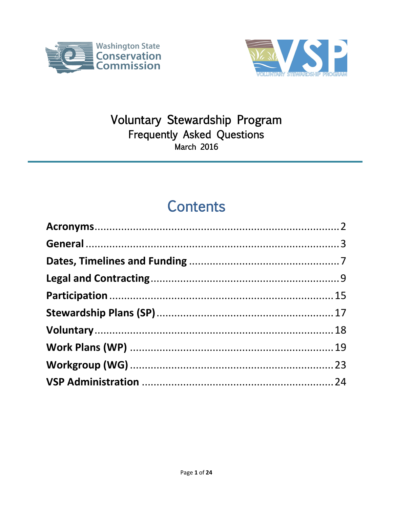



### Voluntary Stewardship Program Frequently Asked Questions March 2016

### **Contents**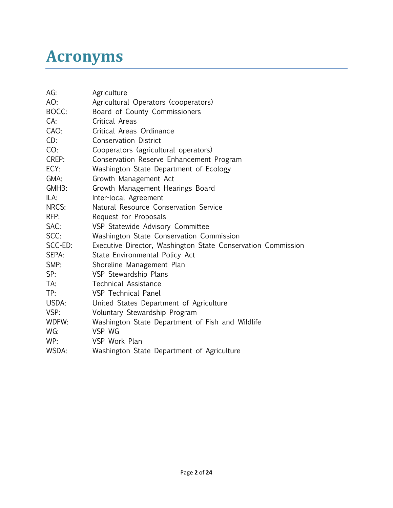### <span id="page-1-0"></span>**Acronyms**

| AG:     | Agriculture                                                  |
|---------|--------------------------------------------------------------|
| AO:     | Agricultural Operators (cooperators)                         |
| BOCC:   | Board of County Commissioners                                |
| CA:     | Critical Areas                                               |
| CAO:    | Critical Areas Ordinance                                     |
| CD:     | <b>Conservation District</b>                                 |
| CO:     | Cooperators (agricultural operators)                         |
| CREP:   | Conservation Reserve Enhancement Program                     |
| ECY:    | Washington State Department of Ecology                       |
| GMA:    | Growth Management Act                                        |
| GMHB:   | Growth Management Hearings Board                             |
| ILA:    | Inter-local Agreement                                        |
| NRCS:   | Natural Resource Conservation Service                        |
| RFP:    | Request for Proposals                                        |
| SAC:    | VSP Statewide Advisory Committee                             |
| SCC:    | Washington State Conservation Commission                     |
| SCC-ED: | Executive Director, Washington State Conservation Commission |
| SEPA:   | State Environmental Policy Act                               |
| SMP:    | Shoreline Management Plan                                    |
| SP:     | VSP Stewardship Plans                                        |
| TA:     | <b>Technical Assistance</b>                                  |
| TP:     | <b>VSP</b> Technical Panel                                   |
| USDA:   | United States Department of Agriculture                      |
| VSP:    | Voluntary Stewardship Program                                |
| WDFW:   | Washington State Department of Fish and Wildlife             |
| WG:     | VSP WG                                                       |
| WP:     | VSP Work Plan                                                |
| WSDA:   | Washington State Department of Agriculture                   |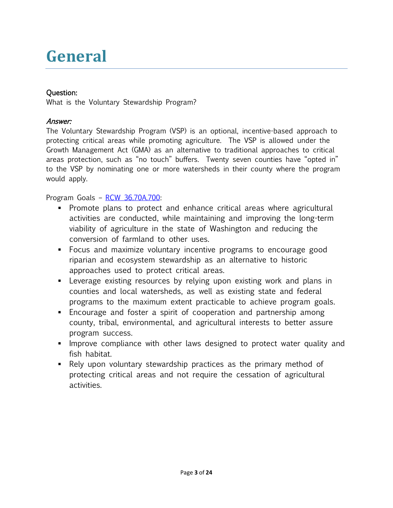# <span id="page-2-0"></span>**General**

#### Question:

What is the Voluntary Stewardship Program?

#### Answer:

The Voluntary Stewardship Program (VSP) is an optional, incentive-based approach to protecting critical areas while promoting agriculture. The VSP is allowed under the Growth Management Act (GMA) as an alternative to traditional approaches to critical areas protection, such as "no touch" buffers. Twenty seven counties have "opted in" to the VSP by nominating one or more watersheds in their county where the program would apply.

Program Goals – [RCW 36.70A.700:](http://app.leg.wa.gov/RCW/default.aspx?cite=36.70A.700)

- Promote plans to protect and enhance critical areas where agricultural activities are conducted, while maintaining and improving the long-term viability of agriculture in the state of Washington and reducing the conversion of farmland to other uses.
- Focus and maximize voluntary incentive programs to encourage good riparian and ecosystem stewardship as an alternative to historic approaches used to protect critical areas.
- Leverage existing resources by relying upon existing work and plans in counties and local watersheds, as well as existing state and federal programs to the maximum extent practicable to achieve program goals.
- Encourage and foster a spirit of cooperation and partnership among county, tribal, environmental, and agricultural interests to better assure program success.
- **IMPROVE COMPLIANCE WITH OTHER LAWS designed to protect water quality and** fish habitat.
- Rely upon voluntary stewardship practices as the primary method of protecting critical areas and not require the cessation of agricultural activities.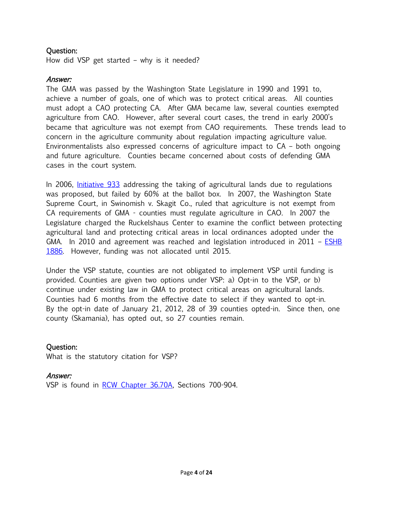How did VSP get started – why is it needed?

#### Answer:

The GMA was passed by the Washington State Legislature in 1990 and 1991 to, achieve a number of goals, one of which was to protect critical areas. All counties must adopt a CAO protecting CA. After GMA became law, several counties exempted agriculture from CAO. However, after several court cases, the trend in early 2000's became that agriculture was not exempt from CAO requirements. These trends lead to concern in the agriculture community about regulation impacting agriculture value. Environmentalists also expressed concerns of agriculture impact to CA – both ongoing and future agriculture. Counties became concerned about costs of defending GMA cases in the court system.

In 2006, *Initiative 933* addressing the taking of agricultural lands due to regulations was proposed, but failed by 60% at the ballot box. In 2007, the Washington State Supreme Court, in Swinomish v. Skagit Co., ruled that agriculture is not exempt from CA requirements of GMA - counties must regulate agriculture in CAO. In 2007 the Legislature charged the Ruckelshaus Center to examine the conflict between protecting agricultural land and protecting critical areas in local ordinances adopted under the GMA. In 2010 and agreement was reached and legislation introduced in 2011 –  $ESHB$ [1886.](http://lawfilesext.leg.wa.gov/biennium/2011-12/Pdf/Bills/Session%20Laws/House/1886-S.SL.pdf) However, funding was not allocated until 2015.

Under the VSP statute, counties are not obligated to implement VSP until funding is provided. Counties are given two options under VSP: a) Opt-in to the VSP, or b) continue under existing law in GMA to protect critical areas on agricultural lands. Counties had 6 months from the effective date to select if they wanted to opt-in. By the opt-in date of January 21, 2012, 28 of 39 counties opted-in. Since then, one county (Skamania), has opted out, so 27 counties remain.

#### Question:

What is the statutory citation for VSP?

#### Answer:

VSP is found in [RCW Chapter 36.70A,](http://app.leg.wa.gov/RCW/default.aspx?cite=36.70A) Sections 700-904.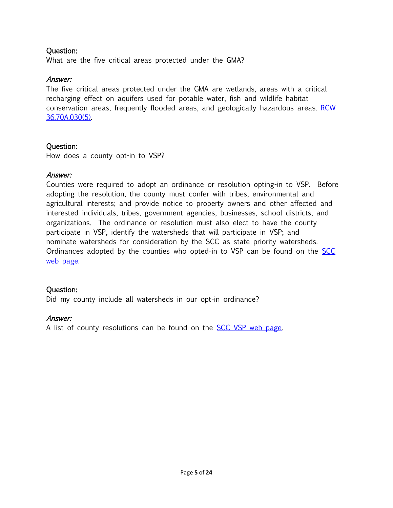What are the five critical areas protected under the GMA?

#### Answer:

The five critical areas protected under the GMA are wetlands, areas with a critical recharging effect on aquifers used for potable water, fish and wildlife habitat conservation areas, frequently flooded areas, and geologically hazardous areas. [RCW](http://app.leg.wa.gov/RCW/default.aspx?cite=36.70A.030)  [36.70A.030\(5\).](http://app.leg.wa.gov/RCW/default.aspx?cite=36.70A.030)

#### Question:

How does a county opt-in to VSP?

#### Answer:

Counties were required to adopt an ordinance or resolution opting-in to VSP. Before adopting the resolution, the county must confer with tribes, environmental and agricultural interests; and provide notice to property owners and other affected and interested individuals, tribes, government agencies, businesses, school districts, and organizations. The ordinance or resolution must also elect to have the county participate in VSP, identify the watersheds that will participate in VSP; and nominate watersheds for consideration by the SCC as state priority watersheds. Ordinances adopted by the counties who opted-in to VSP can be found on the [SCC](http://scc.wa.gov/voluntary-stewardship/)  [web page.](http://scc.wa.gov/voluntary-stewardship/)

#### Question:

Did my county include all watersheds in our opt-in ordinance?

#### Answer:

A list of county resolutions can be found on the **SCC VSP** web page.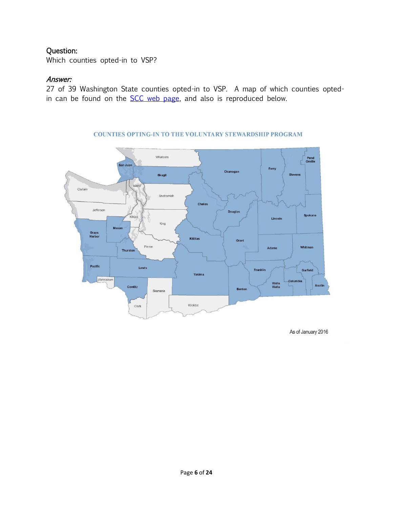Which counties opted-in to VSP?

#### Answer:

27 of 39 Washington State counties opted-in to VSP. A map of which counties optedin can be found on the **SCC** web page, and also is reproduced below.

<span id="page-5-0"></span>

#### **COUNTIES OPTING-IN TO THE VOLUNTARY STEWARDSHIP PROGRAM**

As of January 2016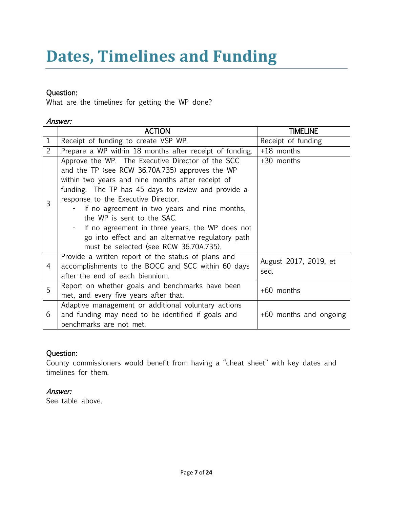# **Dates, Timelines and Funding**

#### Question:

What are the timelines for getting the WP done?

#### Answer:

|                | <b>ACTION</b>                                                                                                                                                                                                                                                                                                                                                                                                                                                                              | <b>TIMELINE</b>               |
|----------------|--------------------------------------------------------------------------------------------------------------------------------------------------------------------------------------------------------------------------------------------------------------------------------------------------------------------------------------------------------------------------------------------------------------------------------------------------------------------------------------------|-------------------------------|
| 1              | Receipt of funding to create VSP WP.                                                                                                                                                                                                                                                                                                                                                                                                                                                       | Receipt of funding            |
| $\overline{2}$ | Prepare a WP within 18 months after receipt of funding.                                                                                                                                                                                                                                                                                                                                                                                                                                    | $+18$ months                  |
| 3              | Approve the WP. The Executive Director of the SCC<br>and the TP (see RCW 36.70A.735) approves the WP<br>within two years and nine months after receipt of<br>funding. The TP has 45 days to review and provide a<br>response to the Executive Director.<br>- If no agreement in two years and nine months,<br>the WP is sent to the SAC.<br>If no agreement in three years, the WP does not<br>go into effect and an alternative regulatory path<br>must be selected (see RCW 36.70A.735). | +30 months                    |
| 4              | Provide a written report of the status of plans and<br>accomplishments to the BOCC and SCC within 60 days<br>after the end of each biennium.                                                                                                                                                                                                                                                                                                                                               | August 2017, 2019, et<br>seq. |
| 5              | Report on whether goals and benchmarks have been<br>met, and every five years after that.                                                                                                                                                                                                                                                                                                                                                                                                  | +60 months                    |
| 6              | Adaptive management or additional voluntary actions<br>and funding may need to be identified if goals and<br>benchmarks are not met.                                                                                                                                                                                                                                                                                                                                                       | +60 months and ongoing        |

#### Question:

County commissioners would benefit from having a "cheat sheet" with key dates and timelines for them.

#### Answer:

See table above.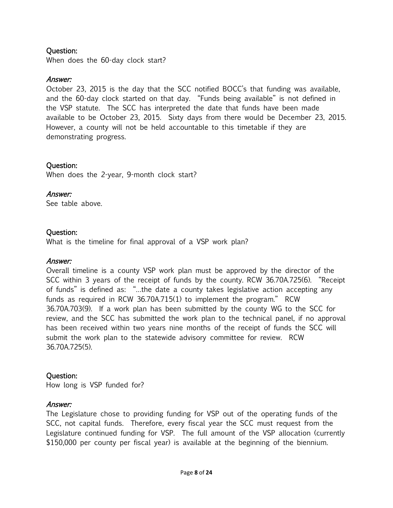When does the 60-day clock start?

#### Answer:

October 23, 2015 is the day that the SCC notified BOCC's that funding was available, and the 60-day clock started on that day. "Funds being available" is not defined in the VSP statute. The SCC has interpreted the date that funds have been made available to be October 23, 2015. Sixty days from there would be December 23, 2015. However, a county will not be held accountable to this timetable if they are demonstrating progress.

#### Question:

When does the 2-year, 9-month clock start?

#### Answer:

See table above.

#### Question:

What is the timeline for final approval of a VSP work plan?

#### Answer:

Overall timeline is a county VSP work plan must be approved by the director of the SCC within 3 years of the receipt of funds by the county. RCW 36.70A.725(6). "Receipt of funds" is defined as: "…the date a county takes legislative action accepting any funds as required in RCW 36.70A.715(1) to implement the program." RCW 36.70A.703(9). If a work plan has been submitted by the county WG to the SCC for review, and the SCC has submitted the work plan to the technical panel, if no approval has been received within two years nine months of the receipt of funds the SCC will submit the work plan to the statewide advisory committee for review. RCW 36.70A.725(5).

#### Question:

How long is VSP funded for?

#### Answer:

The Legislature chose to providing funding for VSP out of the operating funds of the SCC, not capital funds. Therefore, every fiscal year the SCC must request from the Legislature continued funding for VSP. The full amount of the VSP allocation (currently \$150,000 per county per fiscal year) is available at the beginning of the biennium.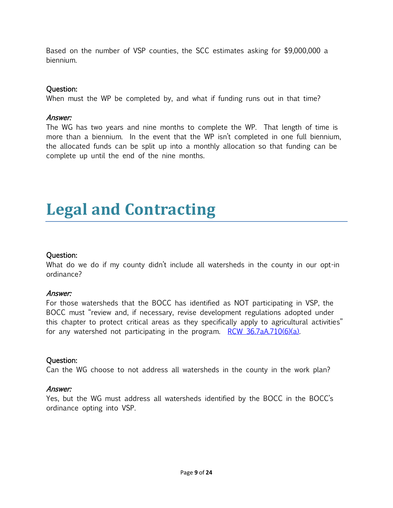Based on the number of VSP counties, the SCC estimates asking for \$9,000,000 a biennium.

#### Question:

When must the WP be completed by, and what if funding runs out in that time?

#### Answer:

The WG has two years and nine months to complete the WP. That length of time is more than a biennium. In the event that the WP isn't completed in one full biennium, the allocated funds can be split up into a monthly allocation so that funding can be complete up until the end of the nine months.

## <span id="page-8-0"></span>**Legal and Contracting**

#### Question:

What do we do if my county didn't include all watersheds in the county in our opt-in ordinance?

#### Answer:

For those watersheds that the BOCC has identified as NOT participating in VSP, the BOCC must "review and, if necessary, revise development regulations adopted under this chapter to protect critical areas as they specifically apply to agricultural activities" for any watershed not participating in the program. RCW 36.7aA.710(6)(a).

#### Question:

Can the WG choose to not address all watersheds in the county in the work plan?

#### Answer:

Yes, but the WG must address all watersheds identified by the BOCC in the BOCC's ordinance opting into VSP.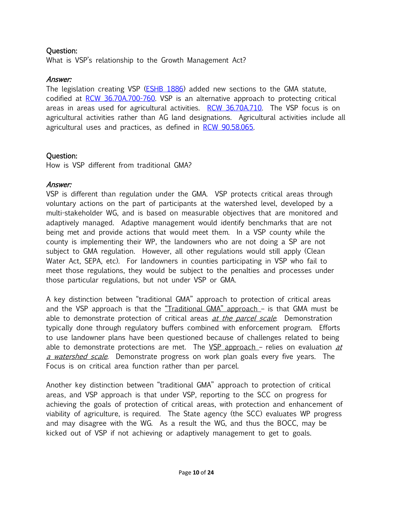What is VSP's relationship to the Growth Management Act?

#### Answer:

The legislation creating VSP (**ESHB 1886**) added new sections to the GMA statute, codified at [RCW 36.70A.700-760.](http://app.leg.wa.gov/RCW/default.aspx?cite=36.70A) VSP is an alternative approach to protecting critical areas in areas used for agricultural activities. [RCW 36.70A.710.](http://app.leg.wa.gov/RCW/default.aspx?cite=36.70A.710) The VSP focus is on agricultural activities rather than AG land designations. Agricultural activities include all agricultural uses and practices, as defined in [RCW 90.58.065.](http://app.leg.wa.gov/RCW/default.aspx?cite=90.58.065) 

#### Question:

How is VSP different from traditional GMA?

#### Answer:

VSP is different than regulation under the GMA. VSP protects critical areas through voluntary actions on the part of participants at the watershed level, developed by a multi-stakeholder WG, and is based on measurable objectives that are monitored and adaptively managed. Adaptive management would identify benchmarks that are not being met and provide actions that would meet them. In a VSP county while the county is implementing their WP, the landowners who are not doing a SP are not subject to GMA regulation. However, all other regulations would still apply (Clean Water Act, SEPA, etc). For landowners in counties participating in VSP who fail to meet those regulations, they would be subject to the penalties and processes under those particular regulations, but not under VSP or GMA.

A key distinction between "traditional GMA" approach to protection of critical areas and the VSP approach is that the "Traditional  $GMA$ " approach  $-$  is that  $GMA$  must be able to demonstrate protection of critical areas *at the parcel scale*. Demonstration typically done through regulatory buffers combined with enforcement program. Efforts to use landowner plans have been questioned because of challenges related to being able to demonstrate protections are met. The  $VSP$  approach – relies on evaluation  $at$ a watershed scale. Demonstrate progress on work plan goals every five years. The Focus is on critical area function rather than per parcel.

Another key distinction between "traditional GMA" approach to protection of critical areas, and VSP approach is that under VSP, reporting to the SCC on progress for achieving the goals of protection of critical areas, with protection and enhancement of viability of agriculture, is required. The State agency (the SCC) evaluates WP progress and may disagree with the WG. As a result the WG, and thus the BOCC, may be kicked out of VSP if not achieving or adaptively management to get to goals.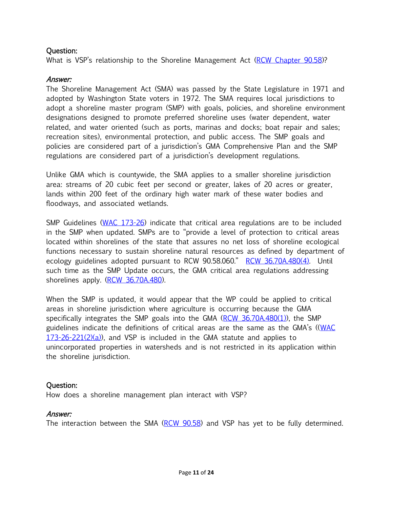What is VSP's relationship to the Shoreline Management Act [\(RCW Chapter 90.58\)](http://app.leg.wa.gov/RCW/default.aspx?cite=90.58)?

#### Answer:

The Shoreline Management Act (SMA) was passed by the State Legislature in 1971 and adopted by Washington State voters in 1972. The SMA requires local jurisdictions to adopt a shoreline master program (SMP) with goals, policies, and shoreline environment designations designed to promote preferred shoreline uses (water dependent, water related, and water oriented (such as ports, marinas and docks; boat repair and sales; recreation sites), environmental protection, and public access. The SMP goals and policies are considered part of a jurisdiction's GMA Comprehensive Plan and the SMP regulations are considered part of a jurisdiction's development regulations.

Unlike GMA which is countywide, the SMA applies to a smaller shoreline jurisdiction area: streams of 20 cubic feet per second or greater, lakes of 20 acres or greater, lands within 200 feet of the ordinary high water mark of these water bodies and floodways, and associated wetlands.

SMP Guidelines [\(WAC 173-26\)](http://app.leg.wa.gov/WAC/default.aspx?cite=173-26) indicate that critical area regulations are to be included in the SMP when updated. SMPs are to "provide a level of protection to critical areas located within shorelines of the state that assures no net loss of shoreline ecological functions necessary to sustain shoreline natural resources as defined by department of ecology guidelines adopted pursuant to RCW 90.58.060." [RCW 36.70A.480\(4\).](http://app.leg.wa.gov/RCW/default.aspx?cite=36.70A.480) Until such time as the SMP Update occurs, the GMA critical area regulations addressing shorelines apply. [\(RCW 36.70A.480\)](http://app.leg.wa.gov/RCW/default.aspx?cite=36.70A.480).

When the SMP is updated, it would appear that the WP could be applied to critical areas in shoreline jurisdiction where agriculture is occurring because the GMA specifically integrates the SMP goals into the GMA [\(RCW 36.70A.480\(1\)\)](http://app.leg.wa.gov/RCW/default.aspx?cite=36.70A.480), the SMP guidelines indicate the definitions of critical areas are the same as the GMA's (([WAC](http://app.leg.wa.gov/WAC/default.aspx?cite=173-26-221)   $173-26-221(2)(a)$ , and VSP is included in the GMA statute and applies to unincorporated properties in watersheds and is not restricted in its application within the shoreline jurisdiction.

#### Question:

How does a shoreline management plan interact with VSP?

#### Answer:

The interaction between the SMA [\(RCW 90.58\)](http://app.leg.wa.gov/RCW/default.aspx?cite=90.58) and VSP has yet to be fully determined.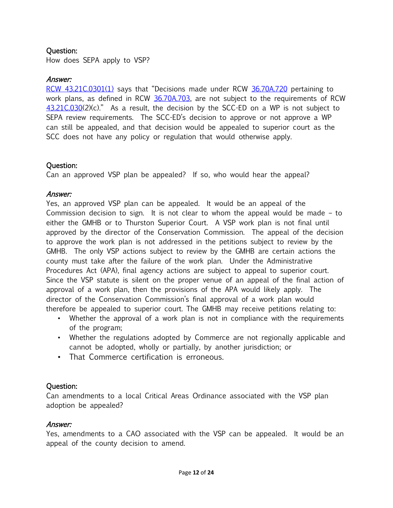How does SEPA apply to VSP?

#### Answer:

[RCW 43.21C.0301\(1\)](http://app.leg.wa.gov/RCW/default.aspx?cite=43.21C.0301) says that "Decisions made under RCW [36.70A.720](http://app.leg.wa.gov/RCW/default.aspx?cite=36.70A.720) pertaining to work plans, as defined in RCW [36.70A.703,](http://app.leg.wa.gov/RCW/default.aspx?cite=36.70A.703) are not subject to the requirements of RCW [43.21C.030\(](http://app.leg.wa.gov/RCW/default.aspx?cite=43.21C.030)2)(c)." As a result, the decision by the SCC-ED on a WP is not subject to SEPA review requirements. The SCC-ED's decision to approve or not approve a WP can still be appealed, and that decision would be appealed to superior court as the SCC does not have any policy or regulation that would otherwise apply.

#### Question:

Can an approved VSP plan be appealed? If so, who would hear the appeal?

#### Answer:

Yes, an approved VSP plan can be appealed. It would be an appeal of the Commission decision to sign. It is not clear to whom the appeal would be made – to either the GMHB or to Thurston Superior Court. A VSP work plan is not final until approved by the director of the Conservation Commission. The appeal of the decision to approve the work plan is not addressed in the petitions subject to review by the GMHB. The only VSP actions subject to review by the GMHB are certain actions the county must take after the failure of the work plan. Under the Administrative Procedures Act (APA), final agency actions are subject to appeal to superior court. Since the VSP statute is silent on the proper venue of an appeal of the final action of approval of a work plan, then the provisions of the APA would likely apply. The director of the Conservation Commission's final approval of a work plan would therefore be appealed to superior court. The GMHB may receive petitions relating to:

- Whether the approval of a work plan is not in compliance with the requirements of the program;
- Whether the regulations adopted by Commerce are not regionally applicable and cannot be adopted, wholly or partially, by another jurisdiction; or
- That Commerce certification is erroneous.

#### Question:

Can amendments to a local Critical Areas Ordinance associated with the VSP plan adoption be appealed?

#### Answer:

Yes, amendments to a CAO associated with the VSP can be appealed. It would be an appeal of the county decision to amend.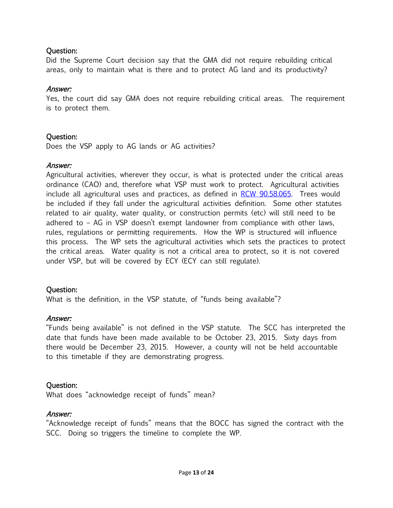Did the Supreme Court decision say that the GMA did not require rebuilding critical areas, only to maintain what is there and to protect AG land and its productivity?

#### Answer:

Yes, the court did say GMA does not require rebuilding critical areas. The requirement is to protect them.

#### Question:

Does the VSP apply to AG lands or AG activities?

#### Answer:

Agricultural activities, wherever they occur, is what is protected under the critical areas ordinance (CAO) and, therefore what VSP must work to protect. Agricultural activities include all agricultural uses and practices, as defined in [RCW 90.58.065.](http://app.leg.wa.gov/RCW/default.aspx?cite=90.58.065) Trees would be included if they fall under the agricultural activities definition. Some other statutes related to air quality, water quality, or construction permits (etc) will still need to be adhered to – AG in VSP doesn't exempt landowner from compliance with other laws, rules, regulations or permitting requirements. How the WP is structured will influence this process. The WP sets the agricultural activities which sets the practices to protect the critical areas. Water quality is not a critical area to protect, so it is not covered under VSP, but will be covered by ECY (ECY can still regulate).

#### Question:

What is the definition, in the VSP statute, of "funds being available"?

#### Answer:

"Funds being available" is not defined in the VSP statute. The SCC has interpreted the date that funds have been made available to be October 23, 2015. Sixty days from there would be December 23, 2015. However, a county will not be held accountable to this timetable if they are demonstrating progress.

#### Question:

What does "acknowledge receipt of funds" mean?

#### Answer:

"Acknowledge receipt of funds" means that the BOCC has signed the contract with the SCC. Doing so triggers the timeline to complete the WP.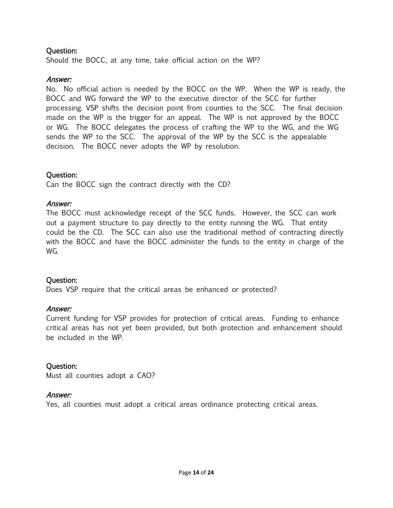Should the BOCC, at any time, take official action on the WP?

#### Answer:

No. No official action is needed by the BOCC on the WP. When the WP is ready, the BOCC and WG forward the WP to the executive director of the SCC for further processing. VSP shifts the decision point from counties to the SCC. The final decision made on the WP is the trigger for an appeal. The WP is not approved by the BOCC or WG. The BOCC delegates the process of crafting the WP to the WG, and the WG sends the WP to the SCC. The approval of the WP by the SCC is the appealable decision. The BOCC never adopts the WP by resolution.

#### Question:

Can the BOCC sign the contract directly with the CD?

#### Answer:

The BOCC must acknowledge receipt of the SCC funds. However, the SCC can work out a payment structure to pay directly to the entity running the WG. That entity could be the CD. The SCC can also use the traditional method of contracting directly with the BOCC and have the BOCC administer the funds to the entity in charge of the WG.

#### Question:

Does VSP require that the critical areas be enhanced or protected?

#### Answer:

Current funding for VSP provides for protection of critical areas. Funding to enhance critical areas has not yet been provided, but both protection and enhancement should be included in the WP.

#### Question:

Must all counties adopt a CAO?

#### Answer:

Yes, all counties must adopt a critical areas ordinance protecting critical areas.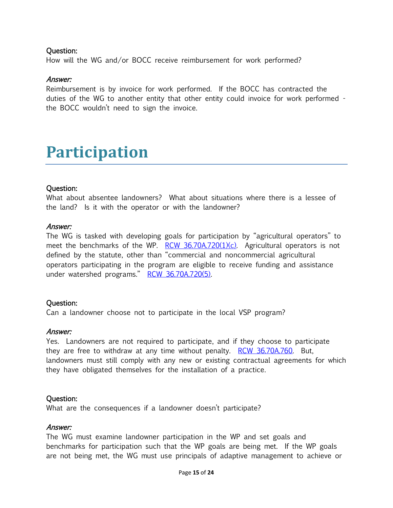How will the WG and/or BOCC receive reimbursement for work performed?

#### Answer:

Reimbursement is by invoice for work performed. If the BOCC has contracted the duties of the WG to another entity that other entity could invoice for work performed the BOCC wouldn't need to sign the invoice.

### <span id="page-14-0"></span>**Participation**

#### Question:

What about absentee landowners? What about situations where there is a lessee of the land? Is it with the operator or with the landowner?

#### Answer:

The WG is tasked with developing goals for participation by "agricultural operators" to meet the benchmarks of the WP.  $RCW$  36.70A.720(1)(c). Agricultural operators is not defined by the statute, other than "commercial and noncommercial agricultural operators participating in the program are eligible to receive funding and assistance under watershed programs." [RCW 36.70A.720\(5\).](http://app.leg.wa.gov/RCW/default.aspx?cite=36.70A.720)

#### Question:

Can a landowner choose not to participate in the local VSP program?

#### Answer:

Yes. Landowners are not required to participate, and if they choose to participate they are free to withdraw at any time without penalty. [RCW 36.70A.760.](http://app.leg.wa.gov/RCW/default.aspx?cite=36.70A.760) But, landowners must still comply with any new or existing contractual agreements for which they have obligated themselves for the installation of a practice.

#### Question:

What are the consequences if a landowner doesn't participate?

#### Answer:

The WG must examine landowner participation in the WP and set goals and benchmarks for participation such that the WP goals are being met. If the WP goals are not being met, the WG must use principals of adaptive management to achieve or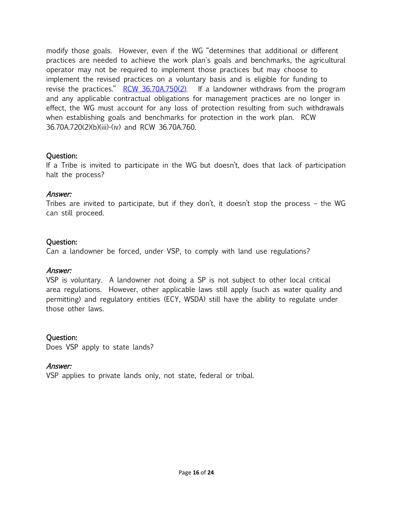modify those goals. However, even if the WG "determines that additional or different practices are needed to achieve the work plan's goals and benchmarks, the agricultural operator may not be required to implement those practices but may choose to implement the revised practices on a voluntary basis and is eligible for funding to revise the practices."  $RCW$  36.70A.750(2). If a landowner withdraws from the program and any applicable contractual obligations for management practices are no longer in effect, the WG must account for any loss of protection resulting from such withdrawals when establishing goals and benchmarks for protection in the work plan. RCW 36.70A.720(2)(b)(iii)-(iv) and RCW 36.70A.760.

#### Question:

If a Tribe is invited to participate in the WG but doesn't, does that lack of participation halt the process?

#### Answer:

Tribes are invited to participate, but if they don't, it doesn't stop the process – the WG can still proceed.

#### Question:

Can a landowner be forced, under VSP, to comply with land use regulations?

#### Answer:

VSP is voluntary. A landowner not doing a SP is not subject to other local critical area regulations. However, other applicable laws still apply (such as water quality and permitting) and regulatory entities (ECY, WSDA) still have the ability to regulate under those other laws.

#### Question:

Does VSP apply to state lands?

#### Answer:

VSP applies to private lands only, not state, federal or tribal.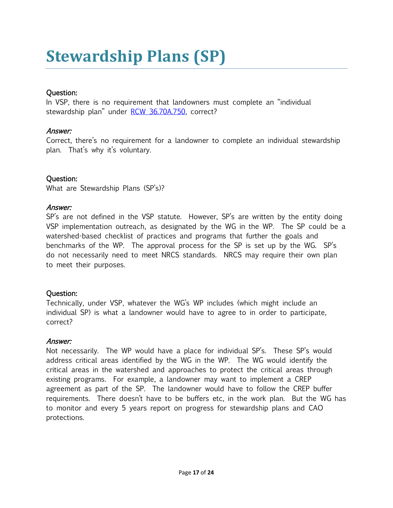# <span id="page-16-0"></span>**Stewardship Plans (SP)**

#### Question:

In VSP, there is no requirement that landowners must complete an "individual stewardship plan" under [RCW 36.70A.750,](http://app.leg.wa.gov/RCW/default.aspx?cite=36.70A.750) correct?

#### Answer:

Correct, there's no requirement for a landowner to complete an individual stewardship plan. That's why it's voluntary.

#### Question:

What are Stewardship Plans (SP's)?

#### Answer:

SP's are not defined in the VSP statute. However, SP's are written by the entity doing VSP implementation outreach, as designated by the WG in the WP. The SP could be a watershed-based checklist of practices and programs that further the goals and benchmarks of the WP. The approval process for the SP is set up by the WG. SP's do not necessarily need to meet NRCS standards. NRCS may require their own plan to meet their purposes.

#### Question:

Technically, under VSP, whatever the WG's WP includes (which might include an individual SP) is what a landowner would have to agree to in order to participate, correct?

#### Answer:

Not necessarily. The WP would have a place for individual SP's. These SP's would address critical areas identified by the WG in the WP. The WG would identify the critical areas in the watershed and approaches to protect the critical areas through existing programs. For example, a landowner may want to implement a CREP agreement as part of the SP. The landowner would have to follow the CREP buffer requirements. There doesn't have to be buffers etc, in the work plan. But the WG has to monitor and every 5 years report on progress for stewardship plans and CAO protections.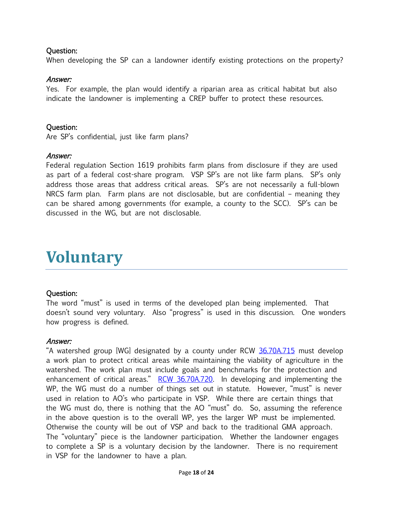When developing the SP can a landowner identify existing protections on the property?

#### Answer:

Yes. For example, the plan would identify a riparian area as critical habitat but also indicate the landowner is implementing a CREP buffer to protect these resources.

#### Question:

Are SP's confidential, just like farm plans?

#### Answer:

Federal regulation Section 1619 prohibits farm plans from disclosure if they are used as part of a federal cost-share program. VSP SP's are not like farm plans. SP's only address those areas that address critical areas. SP's are not necessarily a full-blown NRCS farm plan. Farm plans are not disclosable, but are confidential – meaning they can be shared among governments (for example, a county to the SCC). SP's can be discussed in the WG, but are not disclosable.

### <span id="page-17-0"></span>**Voluntary**

#### Question:

The word "must" is used in terms of the developed plan being implemented. That doesn't sound very voluntary. Also "progress" is used in this discussion. One wonders how progress is defined.

#### Answer:

"A watershed group [WG] designated by a county under RCW [36.70A.715](http://app.leg.wa.gov/RCW/default.aspx?cite=36.70A.715) must develop a work plan to protect critical areas while maintaining the viability of agriculture in the watershed. The work plan must include goals and benchmarks for the protection and enhancement of critical areas." [RCW 36.70A.720.](http://app.leg.wa.gov/RCW/default.aspx?cite=36.70A.720) In developing and implementing the WP, the WG must do a number of things set out in statute. However, "must" is never used in relation to AO's who participate in VSP. While there are certain things that the WG must do, there is nothing that the AO "must" do. So, assuming the reference in the above question is to the overall WP, yes the larger WP must be implemented. Otherwise the county will be out of VSP and back to the traditional GMA approach. The "voluntary" piece is the landowner participation. Whether the landowner engages to complete a SP is a voluntary decision by the landowner. There is no requirement in VSP for the landowner to have a plan.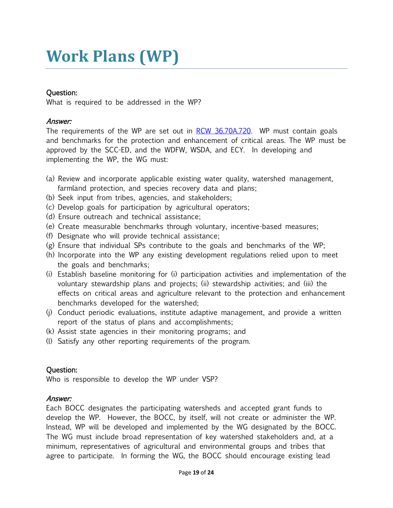# <span id="page-18-0"></span>**Work Plans (WP)**

#### Question:

What is required to be addressed in the WP?

#### Answer:

The requirements of the WP are set out in [RCW 36.70A.720.](http://app.leg.wa.gov/RCW/default.aspx?cite=36.70A.720) WP must contain goals and benchmarks for the protection and enhancement of critical areas. The WP must be approved by the SCC-ED, and the WDFW, WSDA, and ECY. In developing and implementing the WP, the WG must:

- (a) Review and incorporate applicable existing water quality, watershed management, farmland protection, and species recovery data and plans;
- (b) Seek input from tribes, agencies, and stakeholders;
- (c) Develop goals for participation by agricultural operators;
- (d) Ensure outreach and technical assistance;
- (e) Create measurable benchmarks through voluntary, incentive-based measures;
- (f) Designate who will provide technical assistance;
- (g) Ensure that individual SPs contribute to the goals and benchmarks of the WP;
- (h) Incorporate into the WP any existing development regulations relied upon to meet the goals and benchmarks;
- (i) Establish baseline monitoring for (i) participation activities and implementation of the voluntary stewardship plans and projects; (ii) stewardship activities; and (iii) the effects on critical areas and agriculture relevant to the protection and enhancement benchmarks developed for the watershed;
- (j) Conduct periodic evaluations, institute adaptive management, and provide a written report of the status of plans and accomplishments;
- (k) Assist state agencies in their monitoring programs; and
- (l) Satisfy any other reporting requirements of the program.

#### Question:

Who is responsible to develop the WP under VSP?

#### Answer:

Each BOCC designates the participating watersheds and accepted grant funds to develop the WP. However, the BOCC, by itself, will not create or administer the WP. Instead, WP will be developed and implemented by the WG designated by the BOCC. The WG must include broad representation of key watershed stakeholders and, at a minimum, representatives of agricultural and environmental groups and tribes that agree to participate. In forming the WG, the BOCC should encourage existing lead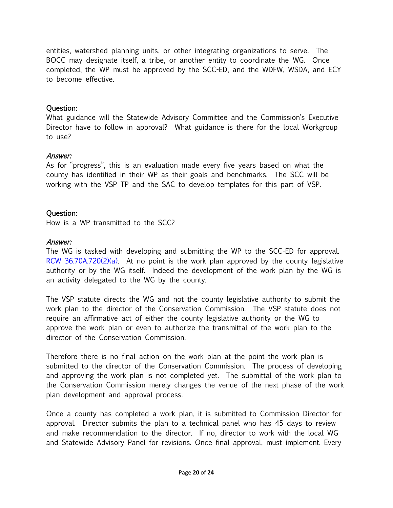entities, watershed planning units, or other integrating organizations to serve. The BOCC may designate itself, a tribe, or another entity to coordinate the WG. Once completed, the WP must be approved by the SCC-ED, and the WDFW, WSDA, and ECY to become effective.

#### Question:

What guidance will the Statewide Advisory Committee and the Commission's Executive Director have to follow in approval? What guidance is there for the local Workgroup to use?

#### Answer:

As for "progress", this is an evaluation made every five years based on what the county has identified in their WP as their goals and benchmarks. The SCC will be working with the VSP TP and the SAC to develop templates for this part of VSP.

#### Question:

How is a WP transmitted to the SCC?

#### Answer:

The WG is tasked with developing and submitting the WP to the SCC-ED for approval.  $RCW$  36.70A.720(2)(a). At no point is the work plan approved by the county legislative authority or by the WG itself. Indeed the development of the work plan by the WG is an activity delegated to the WG by the county.

The VSP statute directs the WG and not the county legislative authority to submit the work plan to the director of the Conservation Commission. The VSP statute does not require an affirmative act of either the county legislative authority or the WG to approve the work plan or even to authorize the transmittal of the work plan to the director of the Conservation Commission.

Therefore there is no final action on the work plan at the point the work plan is submitted to the director of the Conservation Commission. The process of developing and approving the work plan is not completed yet. The submittal of the work plan to the Conservation Commission merely changes the venue of the next phase of the work plan development and approval process.

Once a county has completed a work plan, it is submitted to Commission Director for approval. Director submits the plan to a technical panel who has 45 days to review and make recommendation to the director. If no, director to work with the local WG and Statewide Advisory Panel for revisions. Once final approval, must implement. Every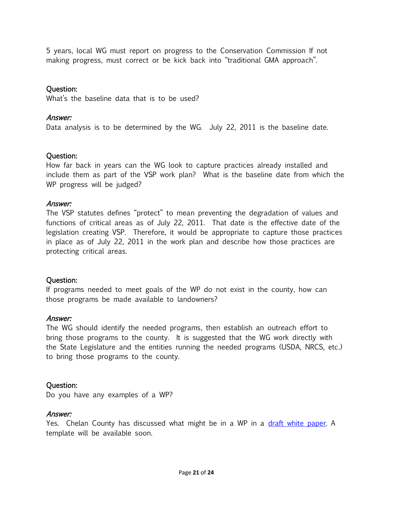5 years, local WG must report on progress to the Conservation Commission If not making progress, must correct or be kick back into "traditional GMA approach".

#### Question:

What's the baseline data that is to be used?

#### Answer:

Data analysis is to be determined by the WG. July 22, 2011 is the baseline date.

#### Question:

How far back in years can the WG look to capture practices already installed and include them as part of the VSP work plan? What is the baseline date from which the WP progress will be judged?

#### Answer:

The VSP statutes defines "protect" to mean preventing the degradation of values and functions of critical areas as of July 22, 2011. That date is the effective date of the legislation creating VSP. Therefore, it would be appropriate to capture those practices in place as of July 22, 2011 in the work plan and describe how those practices are protecting critical areas.

#### Question:

If programs needed to meet goals of the WP do not exist in the county, how can those programs be made available to landowners?

#### Answer:

The WG should identify the needed programs, then establish an outreach effort to bring those programs to the county. It is suggested that the WG work directly with the State Legislature and the entities running the needed programs (USDA, NRCS, etc.) to bring those programs to the county.

#### Question:

Do you have any examples of a WP?

#### Answer:

Yes. Chelan County has discussed what might be in a WP in a [draft white paper.](http://www.co.chelan.wa.us/files/natural-resources/documents/Planning/voluntary_stewarship/whitepaper.pdf) A template will be available soon.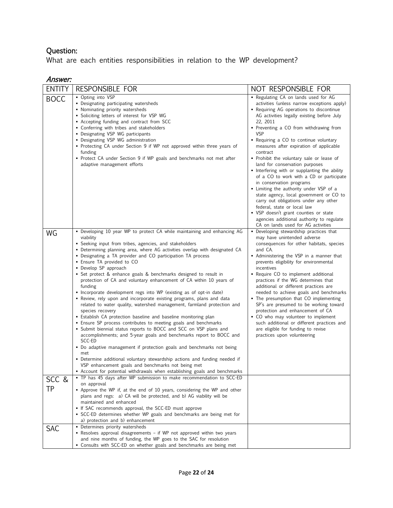What are each entities responsibilities in relation to the WP development?

#### Answer:

| <b>ENTITY</b> | RESPONSIBLE FOR                                                                                                                                                                                                                                                                                                                                                                                                                                                                                                                                                                                                                                                                                                                                                                                                                                                                                                                                                                                                                                                                                                                                                                                                                                                                                                                                          | NOT RESPONSIBLE FOR                                                                                                                                                                                                                                                                                                                                                                                                                                                                                                                                                                                                                                                                                                                                                                                             |
|---------------|----------------------------------------------------------------------------------------------------------------------------------------------------------------------------------------------------------------------------------------------------------------------------------------------------------------------------------------------------------------------------------------------------------------------------------------------------------------------------------------------------------------------------------------------------------------------------------------------------------------------------------------------------------------------------------------------------------------------------------------------------------------------------------------------------------------------------------------------------------------------------------------------------------------------------------------------------------------------------------------------------------------------------------------------------------------------------------------------------------------------------------------------------------------------------------------------------------------------------------------------------------------------------------------------------------------------------------------------------------|-----------------------------------------------------------------------------------------------------------------------------------------------------------------------------------------------------------------------------------------------------------------------------------------------------------------------------------------------------------------------------------------------------------------------------------------------------------------------------------------------------------------------------------------------------------------------------------------------------------------------------------------------------------------------------------------------------------------------------------------------------------------------------------------------------------------|
| <b>BOCC</b>   | • Opting into VSP<br>• Designating participating watersheds<br>• Nominating priority watersheds<br>• Soliciting letters of interest for VSP WG<br>• Accepting funding and contract from SCC<br>• Conferring with tribes and stakeholders<br>• Designating VSP WG participants<br>• Designating VSP WG administration<br>• Protecting CA under Section 9 if WP not approved within three years of<br>funding<br>• Protect CA under Section 9 if WP goals and benchmarks not met after<br>adaptive management efforts                                                                                                                                                                                                                                                                                                                                                                                                                                                                                                                                                                                                                                                                                                                                                                                                                                      | . Regulating CA on lands used for AG<br>activities (unless narrow exceptions apply)<br>• Requiring AG operations to discontinue<br>AG activities legally existing before July<br>22, 2011<br>• Preventing a CO from withdrawing from<br><b>VSP</b><br>• Requiring a CO to continue voluntary<br>measures after expiration of applicable<br>contract<br>• Prohibit the voluntary sale or lease of<br>land for conservation purposes<br>• Interfering with or supplanting the ability<br>of a CO to work with a CD or participate<br>in conservation programs<br>• Limiting the authority under VSP of a<br>state agency, local government or CO to<br>carry out obligations under any other<br>federal, state or local law<br>• VSP doesn't grant counties or state<br>agencies additional authority to regulate |
| WG            | • Developing 10 year WP to protect CA while maintaining and enhancing AG<br>viability<br>• Seeking input from tribes, agencies, and stakeholders<br>• Determining planning area, where AG activities overlap with designated CA<br>• Designating a TA provider and CO participation TA process<br>• Ensure TA provided to CO<br>• Develop SP approach<br>• Set protect & enhance goals & benchmarks designed to result in<br>protection of CA and voluntary enhancement of CA within 10 years of<br>funding<br>• Incorporate development regs into WP (existing as of opt-in date)<br>• Review, rely upon and incorporate existing programs, plans and data<br>related to water quality, watershed management, farmland protection and<br>species recovery<br>• Establish CA protection baseline and baseline monitoring plan<br>• Ensure SP process contributes to meeting goals and benchmarks<br>• Submit biennial status reports to BOCC and SCC on VSP plans and<br>accomplishments; and 5-year goals and benchmarks report to BOCC and<br>SCC-ED<br>• Do adaptive management if protection goals and benchmarks not being<br>met<br>• Determine additional voluntary stewardship actions and funding needed if<br>VSP enhancement goals and benchmarks not being met<br>- Account for potential withdrawals when establishing goals and benchmarks | CA on lands used for AG activities<br>• Developing stewardship practices that<br>may have unintended adverse<br>consequences for other habitats, species<br>and CA.<br>• Administering the VSP in a manner that<br>prevents eligibility for environmental<br>incentives<br>• Require CO to implement additional<br>practices if the WG determines that<br>additional or different practices are<br>needed to achieve goals and benchmarks<br>• The presumption that CO implementing<br>SP's are presumed to be working toward<br>protection and enhancement of CA<br>• CO who may volunteer to implement<br>such additional or different practices and<br>are eligible for funding to revise<br>practices upon volunteering                                                                                     |
| SCC &<br>TP   | • TP has 45 days after WP submission to make recommendation to SCC-ED<br>on approval<br>• Approve the WP if, at the end of 10 years, considering the WP and other<br>plans and regs: a) CA will be protected, and b) AG viability will be<br>maintained and enhanced<br>• If SAC recommends approval, the SCC-ED must approve<br>• SCC-ED determines whether WP goals and benchmarks are being met for<br>a) protection and b) enhancement                                                                                                                                                                                                                                                                                                                                                                                                                                                                                                                                                                                                                                                                                                                                                                                                                                                                                                               |                                                                                                                                                                                                                                                                                                                                                                                                                                                                                                                                                                                                                                                                                                                                                                                                                 |
| SAC           | • Determines priority watersheds<br>• Resolves approval disagreements - if WP not approved within two years<br>and nine months of funding, the WP goes to the SAC for resolution<br>• Consults with SCC-ED on whether goals and benchmarks are being met                                                                                                                                                                                                                                                                                                                                                                                                                                                                                                                                                                                                                                                                                                                                                                                                                                                                                                                                                                                                                                                                                                 |                                                                                                                                                                                                                                                                                                                                                                                                                                                                                                                                                                                                                                                                                                                                                                                                                 |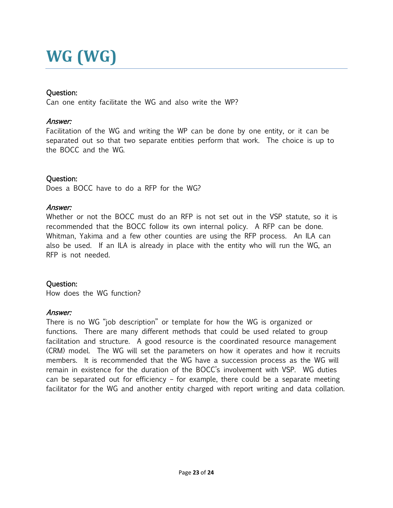# <span id="page-22-0"></span>**WG (WG)**

#### Question:

Can one entity facilitate the WG and also write the WP?

#### Answer:

Facilitation of the WG and writing the WP can be done by one entity, or it can be separated out so that two separate entities perform that work. The choice is up to the BOCC and the WG.

#### Question:

Does a BOCC have to do a RFP for the WG?

#### Answer:

Whether or not the BOCC must do an RFP is not set out in the VSP statute, so it is recommended that the BOCC follow its own internal policy. A RFP can be done. Whitman, Yakima and a few other counties are using the RFP process. An ILA can also be used. If an ILA is already in place with the entity who will run the WG, an RFP is not needed.

#### Question:

How does the WG function?

#### Answer:

There is no WG "job description" or template for how the WG is organized or functions. There are many different methods that could be used related to group facilitation and structure. A good resource is the coordinated resource management (CRM) model. The WG will set the parameters on how it operates and how it recruits members. It is recommended that the WG have a succession process as the WG will remain in existence for the duration of the BOCC's involvement with VSP. WG duties can be separated out for efficiency – for example, there could be a separate meeting facilitator for the WG and another entity charged with report writing and data collation.